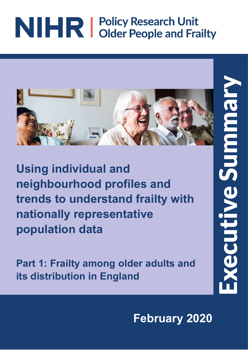# NIHR | Policy Research Unit



**Using individual and neighbourhood profiles and trends to understand frailty with nationally representative population data**

**Part 1: Frailty among older adults and its distribution in England**

**February 2020**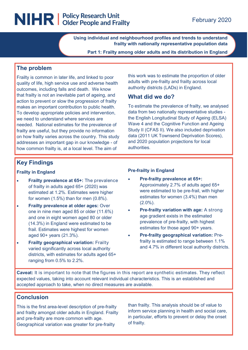### NIHR | Policy Research Unit

**Using individual and neighbourhood profiles and trends to understand frailty with nationally representative population data**

**Part 1: Frailty among older adults and its distribution in England**

#### **The problem**

Frailty is common in later life, and linked to poor quality of life, high service use and adverse health outcomes, including falls and death. We know that frailty is not an inevitable part of ageing, and action to prevent or slow the progression of frailty makes an important contribution to public health. To develop appropriate policies and intervention, we need to understand where services are needed. National estimates for the prevalence of frailty are useful, but they provide no information on how frailty varies across the country. This study addresses an important gap in our knowledge - of how common frailty is, at a local level. The aim of

this work was to estimate the proportion of older adults with pre-frailty and frailty across local authority districts (LADs) in England.

#### **What did we do?**

To estimate the prevalence of frailty, we analysed data from two nationally representative studies the English Longitudinal Study of Ageing (ELSA) Wave 4 and the Cognitive Function and Ageing Study II (CFAS II). We also included deprivation data (2011 UK Townsend Deprivation Scores), and 2020 population projections for local authorities.

#### **Key Findings**

#### **Frailty in England**

- **Frailty prevalence at 65+:** The prevalence of frailty in adults aged 65+ (2020) was estimated at 1.2%. Estimates were higher for women (1.5%) than for men (0.8%).
- **Frailty prevalence at older ages:** Over one in nine men aged 85 or older (11.6%) and one in eight women aged 80 or older (14.3%) in England were estimated to be frail. Estimates were highest for women aged 90+ years (21.3%).
- **Frailty geographical variation:** Frailty varied significantly across local authority districts, with estimates for adults aged 65+ ranging from 0.5% to 2.2%.

#### **Pre-frailty in England**

- **Pre-frailty prevalence at 65+:**  Approximately 2.7% of adults aged 65+ were estimated to be pre-frail, with higher estimates for women (3.4%) than men (2.0%).
- **Pre-frailty variation with age:** A strong age gradient exists in the estimated prevalence of pre-frailty, with highest estimates for those aged 90+ years.
- **Pre-frailty geographical variation:** Prefrailty is estimated to range between 1.1% and 4.7% in different local authority districts.

**Caveat:** It is important to note that the figures in this report are synthetic estimates. They reflect expected values, taking into account relevant individual characteristics. This is an established and accepted approach to take, when no direct measures are available.

#### **Conclusion**

This is the first area-level description of pre-frailty and frailty amongst older adults in England. Frailty and pre-frailty are more common with age. Geographical variation was greater for pre-frailty

than frailty. This analysis should be of value to inform service planning in health and social care, in particular, efforts to prevent or delay the onset of frailty.